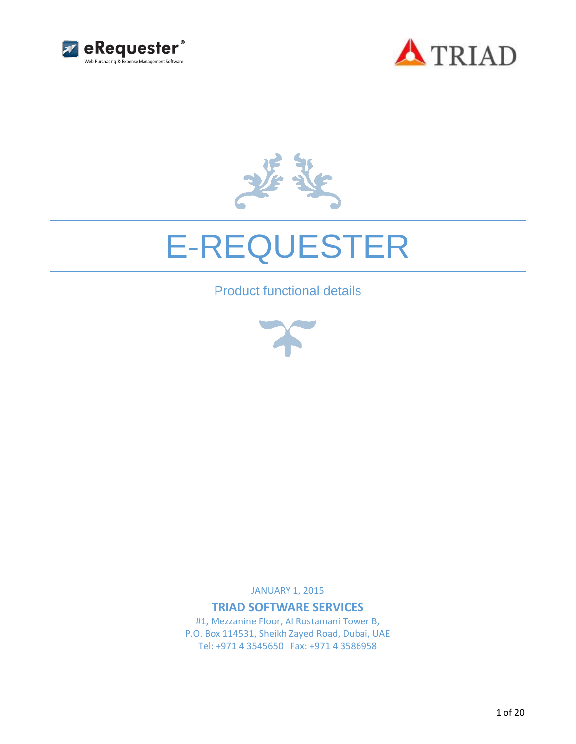





# E-REQUESTER

Product functional details



JANUARY 1, 2015

**TRIAD SOFTWARE SERVICES**

#1, Mezzanine Floor, Al Rostamani Tower B, P.O. Box 114531, Sheikh Zayed Road, Dubai, UAE Tel: +971 4 3545650 Fax: +971 4 3586958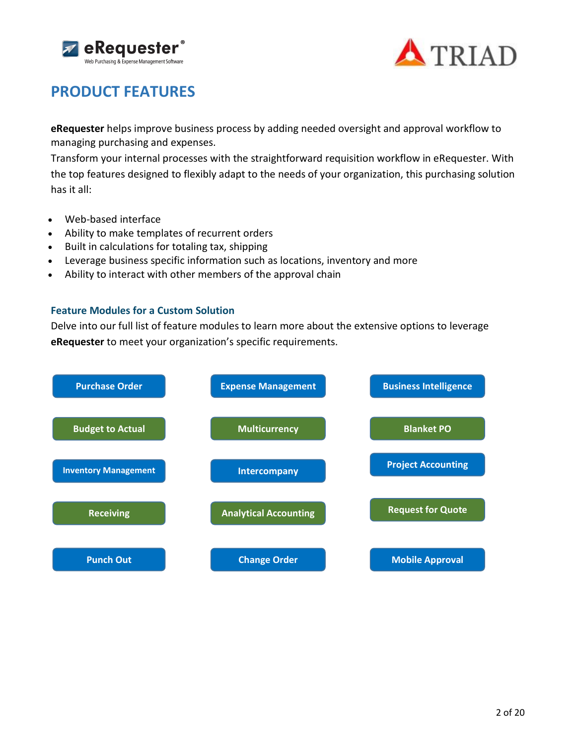



# **PRODUCT FEATURES**

**eRequester** helps improve business process by adding needed oversight and approval workflow to managing purchasing and expenses.

Transform your internal processes with the straightforward requisition workflow in eRequester. With the top features designed to flexibly adapt to the needs of your organization, this purchasing solution has it all:

- Web-based interface
- Ability to make templates of recurrent orders
- Built in calculations for totaling tax, shipping
- Leverage business specific information such as locations, inventory and more
- Ability to interact with other members of the approval chain

#### **Feature Modules for a Custom Solution**

Delve into our full list of feature modules to learn more about the extensive options to leverage **eRequester** to meet your organization's specific requirements.

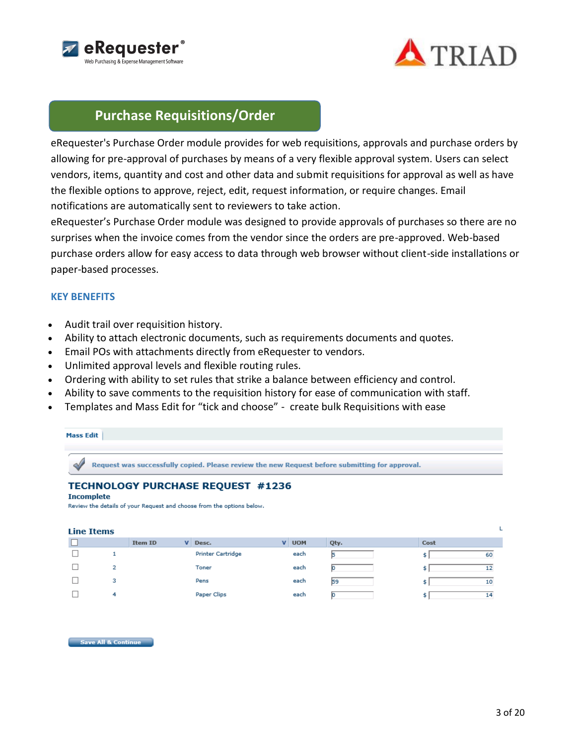



# **Purchase Requisitions/Order**

eRequester's Purchase Order module provides for web requisitions, approvals and purchase orders by allowing for pre-approval of purchases by means of a very flexible approval system. Users can select vendors, items, quantity and cost and other data and submit requisitions for approval as well as have the flexible options to approve, reject, edit, request information, or require changes. Email notifications are automatically sent to reviewers to take action.

eRequester's Purchase Order module was designed to provide approvals of purchases so there are no surprises when the invoice comes from the vendor since the orders are pre-approved. Web-based purchase orders allow for easy access to data through web browser without client-side installations or paper-based processes.

#### **KEY BENEFITS**

- Audit trail over requisition history.
- Ability to attach electronic documents, such as requirements documents and quotes.
- Email POs with attachments directly from eRequester to vendors.
- Unlimited approval levels and flexible routing rules.
- Ordering with ability to set rules that strike a balance between efficiency and control.
- Ability to save comments to the requisition history for ease of communication with staff.
- Templates and Mass Edit for "tick and choose" create bulk Requisitions with ease



# **TECHNOLOGY PURCHASE REQUEST #1236**

#### **Incomplete**

Review the details of your Request and choose from the options below.

| Line Items |   |         |                          |          |            |      |      |    |
|------------|---|---------|--------------------------|----------|------------|------|------|----|
|            |   | Item ID | V Desc.                  | <b>v</b> | <b>UOM</b> | Qty. | Cost |    |
|            |   |         | <b>Printer Cartridge</b> |          | each       |      |      | 60 |
|            | 2 |         | Toner                    |          | each       |      |      | 12 |
|            | з |         | Pens                     |          | each       | 59   |      | 10 |
|            | 4 |         | Paper Clips              |          | each       |      |      | 14 |

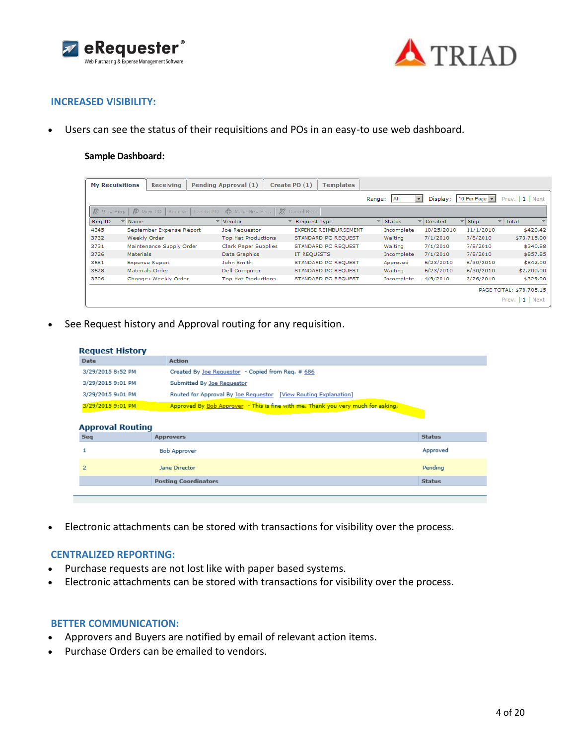



#### **INCREASED VISIBILITY:**

Users can see the status of their requisitions and POs in an easy-to use web dashboard.

#### **Sample Dashboard:**

| <b>My Requisitions</b> |              | <b>Receiving</b>              | <b>Pending Approval (1)</b> |                | Create PO (1)       | Templates                    |        |               |                          |            |             |                         |
|------------------------|--------------|-------------------------------|-----------------------------|----------------|---------------------|------------------------------|--------|---------------|--------------------------|------------|-------------|-------------------------|
|                        |              |                               |                             |                |                     |                              | Range: | <b>AII</b>    | $\overline{\phantom{a}}$ | Display:   | 10 Per Page | Prev.   1   Next        |
| R View Req.            | F            | View PO   Receive   Create PO | ਵੀ> Make New Reg.           | $\mathbb{R}^2$ | Cancel Req.         |                              |        |               |                          |            |             |                         |
| Reg ID                 | Name         |                               | Vendor                      |                | <b>Request Type</b> |                              |        | <b>Status</b> |                          | Created    | Ship        | ⊤ Total                 |
| 4345                   |              | September Expense Report      | Joe Requestor               |                |                     | <b>EXPENSE REIMBURSEMENT</b> |        | Incomplete    |                          | 10/25/2010 | 11/1/2010   | \$420.42                |
| 3732                   | Weekly Order |                               | <b>Top Hat Productions</b>  |                |                     | STANDARD PO REQUEST          |        | Waiting       |                          | 7/1/2010   | 7/8/2010    | \$73,715.00             |
| 3731                   |              | Maintenance Supply Order      | Clark Paper Supplies        |                |                     | STANDARD PO REQUEST          |        | Waiting       |                          | 7/1/2010   | 7/8/2010    | \$340.88                |
| 3726                   | Materials    |                               | Data Graphics               |                | IT REQUESTS         |                              |        | Incomplete    |                          | 7/1/2010   | 7/8/2010    | \$857.85                |
| 3681                   |              | <b>Expense Report</b>         | John Smith                  |                |                     | STANDARD PO REQUEST          |        | Approved      |                          | 6/23/2010  | 6/30/2010   | \$842.00                |
| 3678                   |              | Materials Order               | <b>Dell Computer</b>        |                |                     | STANDARD PO REQUEST          |        | Waiting       |                          | 6/23/2010  | 6/30/2010   | \$2,200.00              |
| 3306                   |              | Change: Weekly Order          | <b>Top Hat Productions</b>  |                |                     | STANDARD PO REQUEST          |        | Incomplete    |                          | 4/9/2010   | 3/26/2010   | \$329.00                |
|                        |              |                               |                             |                |                     |                              |        |               |                          |            |             | PAGE TOTAL: \$78,705.15 |
|                        |              |                               |                             |                |                     |                              |        |               |                          |            |             | Prev.   1   Next        |

See Request history and Approval routing for any requisition.

| Date                                         | <b>Action</b>                                                                    |               |
|----------------------------------------------|----------------------------------------------------------------------------------|---------------|
| 3/29/2015 8:52 PM                            | Created By Joe Requestor - Copied from Req. # 686                                |               |
| 3/29/2015 9:01 PM                            | Submitted By Joe Requestor                                                       |               |
| 3/29/2015 9:01 PM                            | Routed for Approval By Joe Requestor [View Routing Explanation]                  |               |
|                                              |                                                                                  |               |
| 3/29/2015 9:01 PM<br><b>Approval Routing</b> | Approved By Bob Approver - This is fine with me. Thank you very much for asking. |               |
| <b>Seq</b>                                   | <b>Approvers</b>                                                                 | <b>Status</b> |
|                                              | <b>Bob Approver</b>                                                              | Approved      |
| $\overline{2}$                               | Jane Director                                                                    | Pending       |

Electronic attachments can be stored with transactions for visibility over the process.

#### **CENTRALIZED REPORTING:**

- Purchase requests are not lost like with paper based systems.
- Electronic attachments can be stored with transactions for visibility over the process.

#### **BETTER COMMUNICATION:**

- Approvers and Buyers are notified by email of relevant action items.
- Purchase Orders can be emailed to vendors.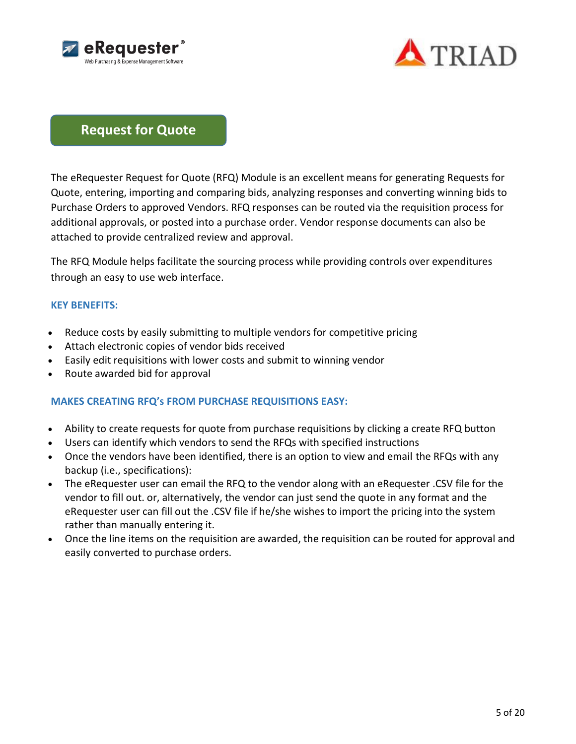



# **Request for Quote**

The eRequester Request for Quote (RFQ) Module is an excellent means for generating Requests for Quote, entering, importing and comparing bids, analyzing responses and converting winning bids to Purchase Orders to approved Vendors. RFQ responses can be routed via the requisition process for additional approvals, or posted into a purchase order. Vendor response documents can also be attached to provide centralized review and approval.

The RFQ Module helps facilitate the sourcing process while providing controls over expenditures through an easy to use web interface.

### **KEY BENEFITS:**

- Reduce costs by easily submitting to multiple vendors for competitive pricing
- Attach electronic copies of vendor bids received
- Easily edit requisitions with lower costs and submit to winning vendor
- Route awarded bid for approval

### **MAKES CREATING RFQ's FROM PURCHASE REQUISITIONS EASY:**

- Ability to create requests for quote from purchase requisitions by clicking a create RFQ button
- Users can identify which vendors to send the RFQs with specified instructions
- Once the vendors have been identified, there is an option to view and email the RFQs with any backup (i.e., specifications):
- The eRequester user can email the RFQ to the vendor along with an eRequester .CSV file for the vendor to fill out. or, alternatively, the vendor can just send the quote in any format and the eRequester user can fill out the .CSV file if he/she wishes to import the pricing into the system rather than manually entering it.
- Once the line items on the requisition are awarded, the requisition can be routed for approval and easily converted to purchase orders.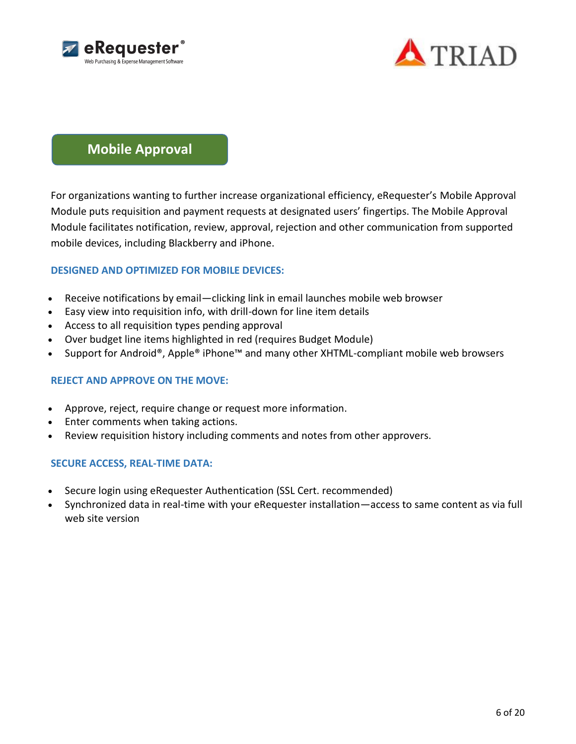



# **Mobile Approval**

For organizations wanting to further increase organizational efficiency, eRequester's Mobile Approval Module puts requisition and payment requests at designated users' fingertips. The Mobile Approval Module facilitates notification, review, approval, rejection and other communication from supported mobile devices, including Blackberry and iPhone.

### **DESIGNED AND OPTIMIZED FOR MOBILE DEVICES:**

- Receive notifications by email—clicking link in email launches mobile web browser
- Easy view into requisition info, with drill-down for line item details
- Access to all requisition types pending approval
- Over budget line items highlighted in red (requires Budget Module)
- Support for Android®, Apple® iPhone™ and many other XHTML-compliant mobile web browsers

### **REJECT AND APPROVE ON THE MOVE:**

- Approve, reject, require change or request more information.
- Enter comments when taking actions.
- Review requisition history including comments and notes from other approvers.

### **SECURE ACCESS, REAL-TIME DATA:**

- Secure login using eRequester Authentication (SSL Cert. recommended)
- Synchronized data in real-time with your eRequester installation—access to same content as via full web site version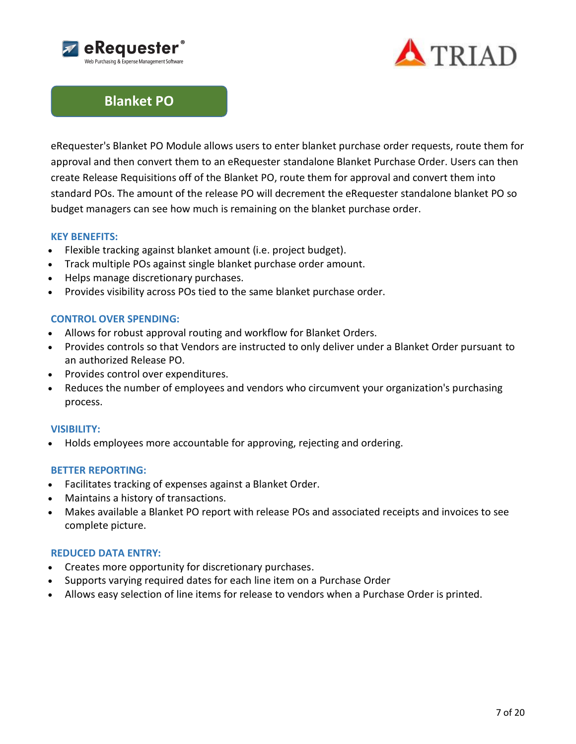



# **Blanket PO**

eRequester's Blanket PO Module allows users to enter blanket purchase order requests, route them for approval and then convert them to an eRequester standalone Blanket Purchase Order. Users can then create Release Requisitions off of the Blanket PO, route them for approval and convert them into standard POs. The amount of the release PO will decrement the eRequester standalone blanket PO so budget managers can see how much is remaining on the blanket purchase order.

### **KEY BENEFITS:**

- Flexible tracking against blanket amount (i.e. project budget).
- Track multiple POs against single blanket purchase order amount.
- Helps manage discretionary purchases.
- Provides visibility across POs tied to the same blanket purchase order.

#### **CONTROL OVER SPENDING:**

- Allows for robust approval routing and workflow for Blanket Orders.
- Provides controls so that Vendors are instructed to only deliver under a Blanket Order pursuant to an authorized Release PO.
- Provides control over expenditures.
- Reduces the number of employees and vendors who circumvent your organization's purchasing process.

#### **VISIBILITY:**

Holds employees more accountable for approving, rejecting and ordering.

#### **BETTER REPORTING:**

- Facilitates tracking of expenses against a Blanket Order.
- Maintains a history of transactions.
- Makes available a Blanket PO report with release POs and associated receipts and invoices to see complete picture.

#### **REDUCED DATA ENTRY:**

- Creates more opportunity for discretionary purchases.
- Supports varying required dates for each line item on a Purchase Order
- Allows easy selection of line items for release to vendors when a Purchase Order is printed.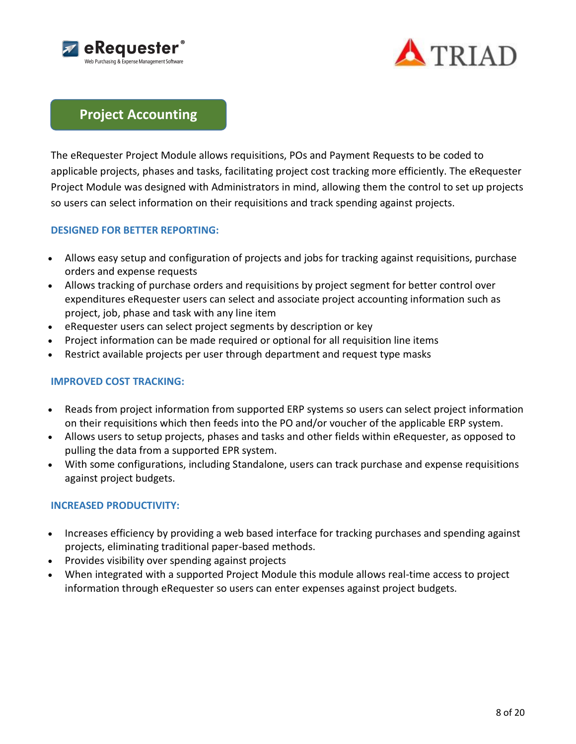



# **Project Accounting**

The eRequester Project Module allows requisitions, POs and Payment Requests to be coded to applicable projects, phases and tasks, facilitating project cost tracking more efficiently. The eRequester Project Module was designed with Administrators in mind, allowing them the control to set up projects so users can select information on their requisitions and track spending against projects.

### **DESIGNED FOR BETTER REPORTING:**

- Allows easy setup and configuration of projects and jobs for tracking against requisitions, purchase orders and expense requests
- Allows tracking of purchase orders and requisitions by project segment for better control over expenditures eRequester users can select and associate project accounting information such as project, job, phase and task with any line item
- eRequester users can select project segments by description or key
- Project information can be made required or optional for all requisition line items
- Restrict available projects per user through department and request type masks

### **IMPROVED COST TRACKING:**

- Reads from project information from supported ERP systems so users can select project information on their requisitions which then feeds into the PO and/or voucher of the applicable ERP system.
- Allows users to setup projects, phases and tasks and other fields within eRequester, as opposed to pulling the data from a supported EPR system.
- With some configurations, including Standalone, users can track purchase and expense requisitions against project budgets.

# **INCREASED PRODUCTIVITY:**

- Increases efficiency by providing a web based interface for tracking purchases and spending against projects, eliminating traditional paper-based methods.
- Provides visibility over spending against projects
- When integrated with a supported Project Module this module allows real-time access to project information through eRequester so users can enter expenses against project budgets.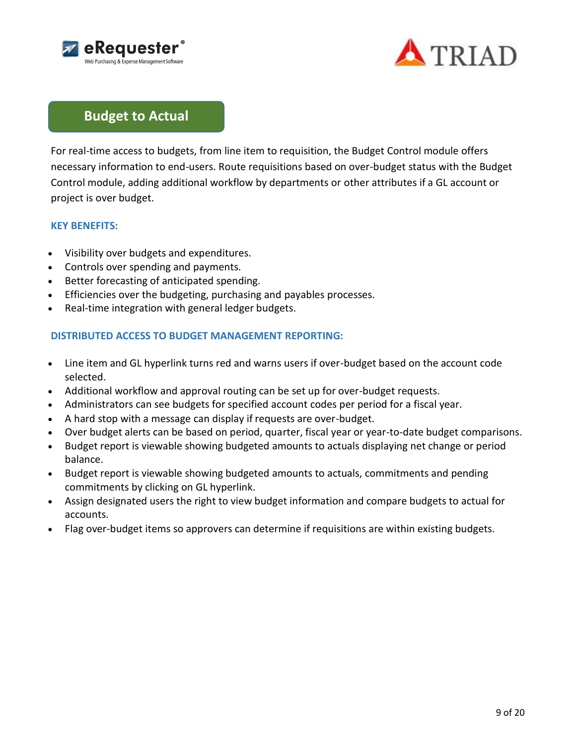



# **Budget to Actual**

For real-time access to budgets, from line item to requisition, the Budget Control module offers necessary information to end-users. Route requisitions based on over-budget status with the Budget Control module, adding additional workflow by departments or other attributes if a GL account or project is over budget.

### **KEY BENEFITS:**

- Visibility over budgets and expenditures.
- Controls over spending and payments.
- Better forecasting of anticipated spending.
- Efficiencies over the budgeting, purchasing and payables processes.
- Real-time integration with general ledger budgets.

### **DISTRIBUTED ACCESS TO BUDGET MANAGEMENT REPORTING:**

- Line item and GL hyperlink turns red and warns users if over-budget based on the account code selected.
- Additional workflow and approval routing can be set up for over-budget requests.
- Administrators can see budgets for specified account codes per period for a fiscal year.
- A hard stop with a message can display if requests are over-budget.
- Over budget alerts can be based on period, quarter, fiscal year or year-to-date budget comparisons.
- Budget report is viewable showing budgeted amounts to actuals displaying net change or period balance.
- Budget report is viewable showing budgeted amounts to actuals, commitments and pending commitments by clicking on GL hyperlink.
- Assign designated users the right to view budget information and compare budgets to actual for accounts.
- Flag over-budget items so approvers can determine if requisitions are within existing budgets.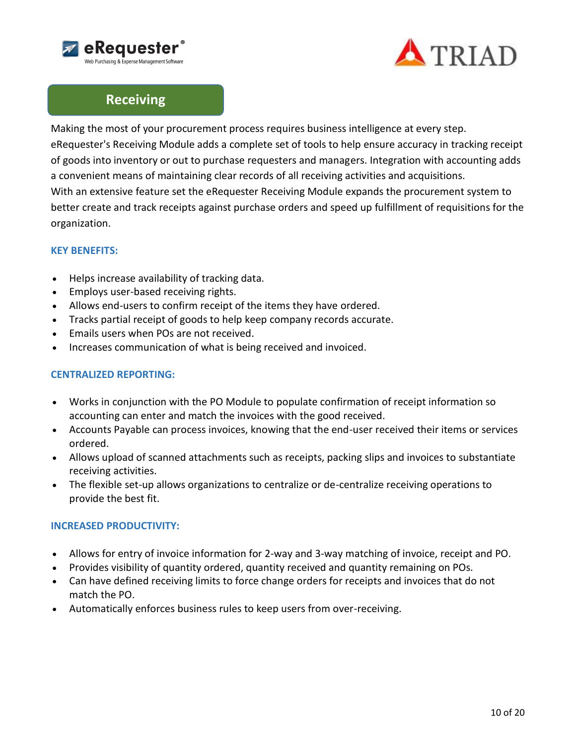



# **Receiving**

Making the most of your procurement process requires business intelligence at every step. eRequester's Receiving Module adds a complete set of tools to help ensure accuracy in tracking receipt of goods into inventory or out to purchase requesters and managers. Integration with accounting adds a convenient means of maintaining clear records of all receiving activities and acquisitions. With an extensive feature set the eRequester Receiving Module expands the procurement system to better create and track receipts against purchase orders and speed up fulfillment of requisitions for the organization.

# **KEY BENEFITS:**

- Helps increase availability of tracking data.
- Employs user-based receiving rights.
- Allows end-users to confirm receipt of the items they have ordered.
- Tracks partial receipt of goods to help keep company records accurate.
- Emails users when POs are not received.
- Increases communication of what is being received and invoiced.

# **CENTRALIZED REPORTING:**

- Works in conjunction with the PO Module to populate confirmation of receipt information so accounting can enter and match the invoices with the good received.
- Accounts Payable can process invoices, knowing that the end-user received their items or services ordered.
- Allows upload of scanned attachments such as receipts, packing slips and invoices to substantiate receiving activities.
- The flexible set-up allows organizations to centralize or de-centralize receiving operations to provide the best fit.

# **INCREASED PRODUCTIVITY:**

- Allows for entry of invoice information for 2-way and 3-way matching of invoice, receipt and PO.
- Provides visibility of quantity ordered, quantity received and quantity remaining on POs.
- Can have defined receiving limits to force change orders for receipts and invoices that do not match the PO.
- Automatically enforces business rules to keep users from over-receiving.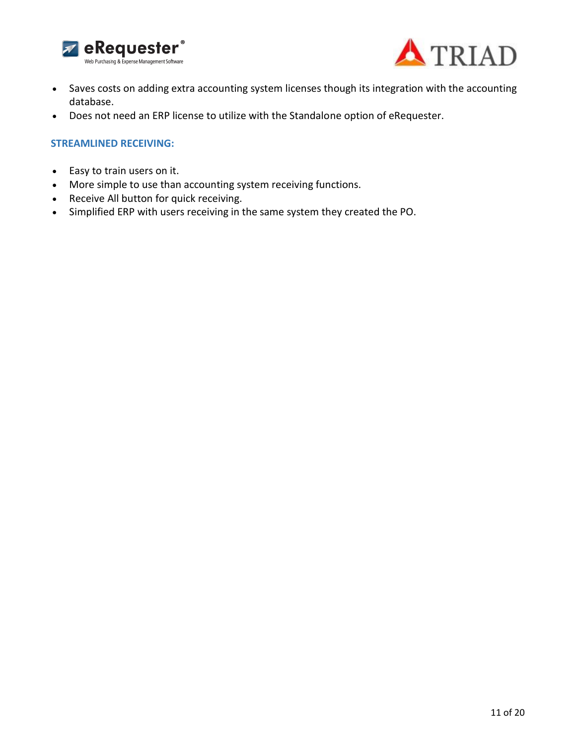



- Saves costs on adding extra accounting system licenses though its integration with the accounting database.
- Does not need an ERP license to utilize with the Standalone option of eRequester.

#### **STREAMLINED RECEIVING:**

- Easy to train users on it.
- More simple to use than accounting system receiving functions.
- Receive All button for quick receiving.
- Simplified ERP with users receiving in the same system they created the PO.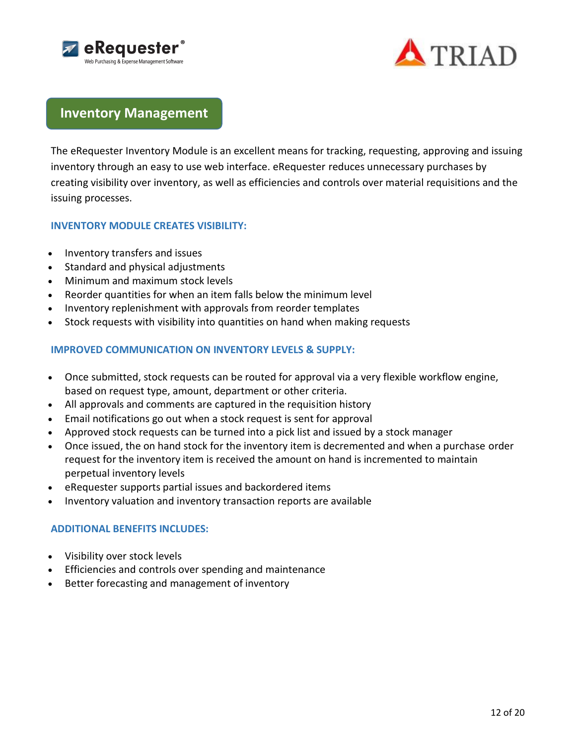



# **Inventory Management**

The eRequester Inventory Module is an excellent means for tracking, requesting, approving and issuing inventory through an easy to use web interface. eRequester reduces unnecessary purchases by creating visibility over inventory, as well as efficiencies and controls over material requisitions and the issuing processes.

### **INVENTORY MODULE CREATES VISIBILITY:**

- Inventory transfers and issues
- Standard and physical adjustments
- Minimum and maximum stock levels
- Reorder quantities for when an item falls below the minimum level
- Inventory replenishment with approvals from reorder templates
- Stock requests with visibility into quantities on hand when making requests

# **IMPROVED COMMUNICATION ON INVENTORY LEVELS & SUPPLY:**

- Once submitted, stock requests can be routed for approval via a very flexible workflow engine, based on request type, amount, department or other criteria.
- All approvals and comments are captured in the requisition history
- Email notifications go out when a stock request is sent for approval
- Approved stock requests can be turned into a pick list and issued by a stock manager
- Once issued, the on hand stock for the inventory item is decremented and when a purchase order request for the inventory item is received the amount on hand is incremented to maintain perpetual inventory levels
- eRequester supports partial issues and backordered items
- Inventory valuation and inventory transaction reports are available

### **ADDITIONAL BENEFITS INCLUDES:**

- Visibility over stock levels
- **Efficiencies and controls over spending and maintenance**
- Better forecasting and management of inventory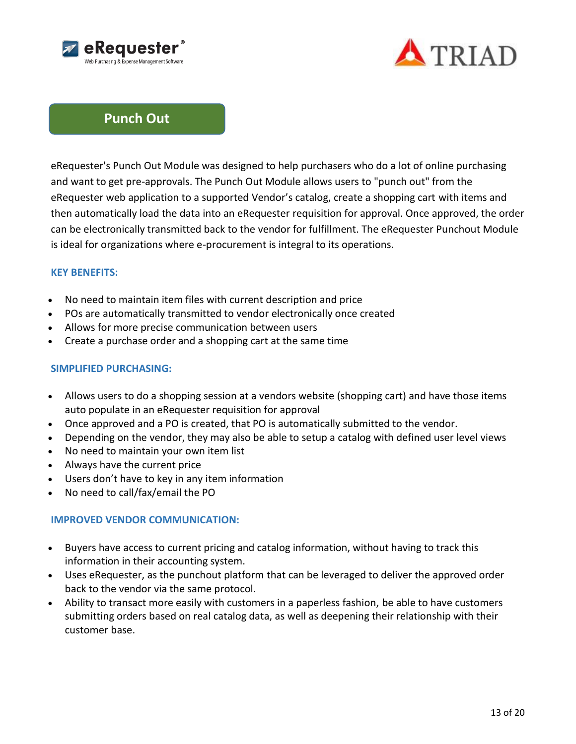



# **Punch Out**

eRequester's Punch Out Module was designed to help purchasers who do a lot of online purchasing and want to get pre-approvals. The Punch Out Module allows users to "punch out" from the eRequester web application to a supported Vendor's catalog, create a shopping cart with items and then automatically load the data into an eRequester requisition for approval. Once approved, the order can be electronically transmitted back to the vendor for fulfillment. The eRequester Punchout Module is ideal for organizations where e-procurement is integral to its operations.

### **KEY BENEFITS:**

- No need to maintain item files with current description and price
- POs are automatically transmitted to vendor electronically once created
- Allows for more precise communication between users
- Create a purchase order and a shopping cart at the same time

### **SIMPLIFIED PURCHASING:**

- Allows users to do a shopping session at a vendors website (shopping cart) and have those items auto populate in an eRequester requisition for approval
- Once approved and a PO is created, that PO is automatically submitted to the vendor.
- Depending on the vendor, they may also be able to setup a catalog with defined user level views
- No need to maintain your own item list
- Always have the current price
- Users don't have to key in any item information
- No need to call/fax/email the PO

# **IMPROVED VENDOR COMMUNICATION:**

- Buyers have access to current pricing and catalog information, without having to track this information in their accounting system.
- Uses eRequester, as the punchout platform that can be leveraged to deliver the approved order back to the vendor via the same protocol.
- Ability to transact more easily with customers in a paperless fashion, be able to have customers submitting orders based on real catalog data, as well as deepening their relationship with their customer base.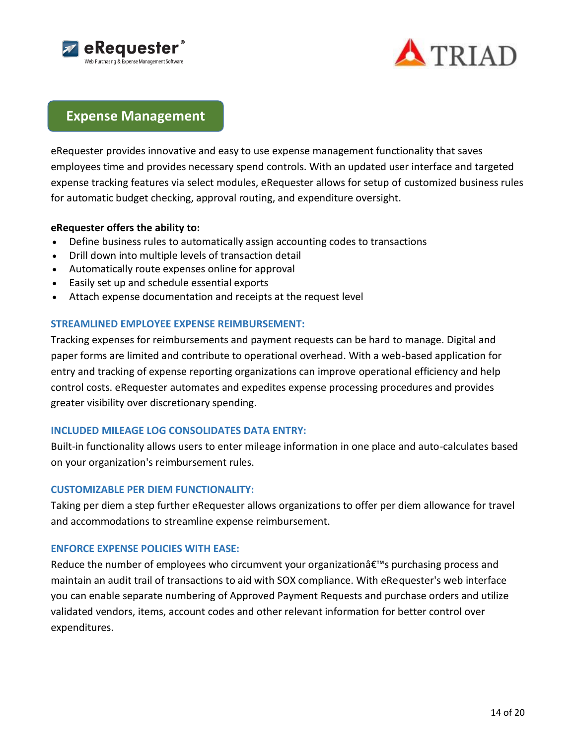



# **Expense Management**

eRequester provides innovative and easy to use expense management functionality that saves employees time and provides necessary spend controls. With an updated user interface and targeted expense tracking features via select modules, eRequester allows for setup of customized business rules for automatic budget checking, approval routing, and expenditure oversight.

### **eRequester offers the ability to:**

- Define business rules to automatically assign accounting codes to transactions
- Drill down into multiple levels of transaction detail
- Automatically route expenses online for approval
- Easily set up and schedule essential exports
- Attach expense documentation and receipts at the request level

### **STREAMLINED EMPLOYEE EXPENSE REIMBURSEMENT:**

Tracking expenses for reimbursements and payment requests can be hard to manage. Digital and paper forms are limited and contribute to operational overhead. With a web-based application for entry and tracking of expense reporting organizations can improve operational efficiency and help control costs. eRequester automates and expedites expense processing procedures and provides greater visibility over discretionary spending.

# **INCLUDED MILEAGE LOG CONSOLIDATES DATA ENTRY:**

Built-in functionality allows users to enter mileage information in one place and auto-calculates based on your organization's reimbursement rules.

### **CUSTOMIZABLE PER DIEM FUNCTIONALITY:**

Taking per diem a step further eRequester allows organizations to offer per diem allowance for travel and accommodations to streamline expense reimbursement.

### **ENFORCE EXPENSE POLICIES WITH EASE:**

Reduce the number of employees who circumvent your organizationâ€<sup>™</sup>s purchasing process and maintain an audit trail of transactions to aid with SOX compliance. With eRequester's web interface you can enable separate numbering of Approved Payment Requests and purchase orders and utilize validated vendors, items, account codes and other relevant information for better control over expenditures.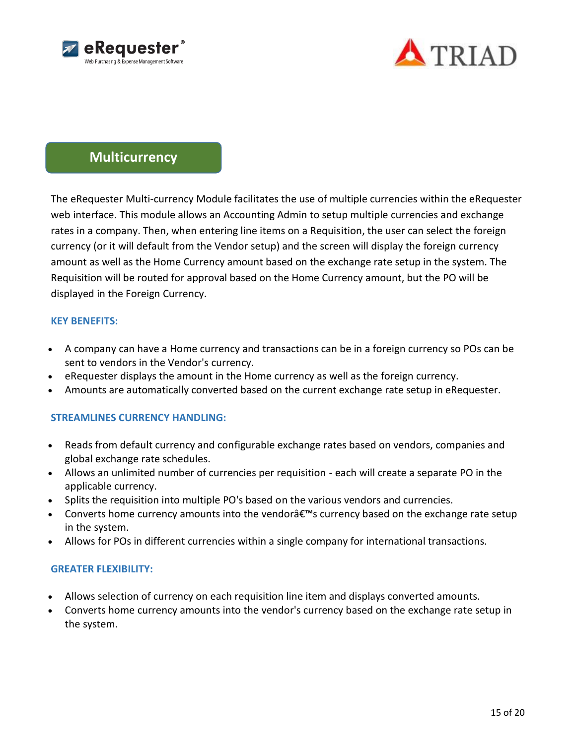



# **Multicurrency**

The eRequester Multi-currency Module facilitates the use of multiple currencies within the eRequester web interface. This module allows an Accounting Admin to setup multiple currencies and exchange rates in a company. Then, when entering line items on a Requisition, the user can select the foreign currency (or it will default from the Vendor setup) and the screen will display the foreign currency amount as well as the Home Currency amount based on the exchange rate setup in the system. The Requisition will be routed for approval based on the Home Currency amount, but the PO will be displayed in the Foreign Currency.

### **KEY BENEFITS:**

- A company can have a Home currency and transactions can be in a foreign currency so POs can be sent to vendors in the Vendor's currency.
- eRequester displays the amount in the Home currency as well as the foreign currency.
- Amounts are automatically converted based on the current exchange rate setup in eRequester.

# **STREAMLINES CURRENCY HANDLING:**

- Reads from default currency and configurable exchange rates based on vendors, companies and global exchange rate schedules.
- Allows an unlimited number of currencies per requisition each will create a separate PO in the applicable currency.
- Splits the requisition into multiple PO's based on the various vendors and currencies.
- Converts home currency amounts into the vendor  $\hat{\epsilon}^{\mathsf{rw}}$  currency based on the exchange rate setup in the system.
- Allows for POs in different currencies within a single company for international transactions.

# **GREATER FLEXIBILITY:**

- Allows selection of currency on each requisition line item and displays converted amounts.
- Converts home currency amounts into the vendor's currency based on the exchange rate setup in the system.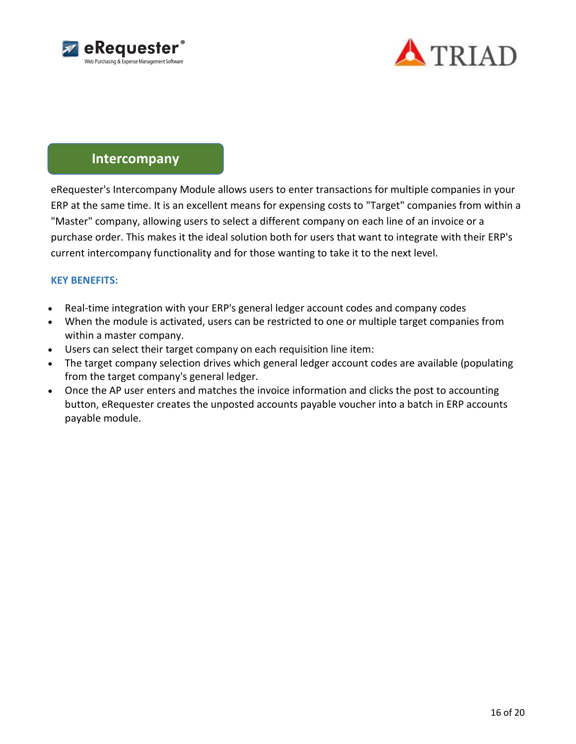



# **Intercompany**

eRequester's Intercompany Module allows users to enter transactions for multiple companies in your ERP at the same time. It is an excellent means for expensing costs to "Target" companies from within a "Master" company, allowing users to select a different company on each line of an invoice or a purchase order. This makes it the ideal solution both for users that want to integrate with their ERP's current intercompany functionality and for those wanting to take it to the next level.

### **KEY BENEFITS:**

- Real-time integration with your ERP's general ledger account codes and company codes
- When the module is activated, users can be restricted to one or multiple target companies from within a master company.
- Users can select their target company on each requisition line item:
- The target company selection drives which general ledger account codes are available (populating from the target company's general ledger.
- Once the AP user enters and matches the invoice information and clicks the post to accounting button, eRequester creates the unposted accounts payable voucher into a batch in ERP accounts payable module.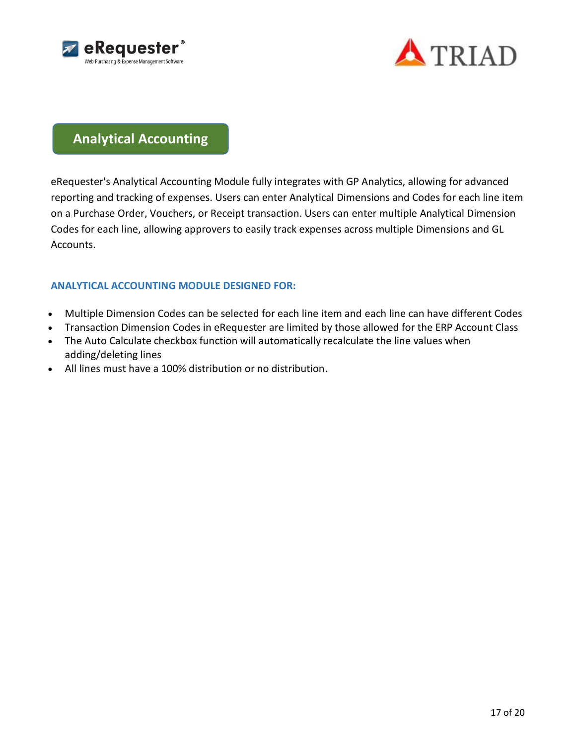



# **Analytical Accounting**

eRequester's Analytical Accounting Module fully integrates with GP Analytics, allowing for advanced reporting and tracking of expenses. Users can enter Analytical Dimensions and Codes for each line item on a Purchase Order, Vouchers, or Receipt transaction. Users can enter multiple Analytical Dimension Codes for each line, allowing approvers to easily track expenses across multiple Dimensions and GL Accounts.

# **ANALYTICAL ACCOUNTING MODULE DESIGNED FOR:**

- Multiple Dimension Codes can be selected for each line item and each line can have different Codes
- Transaction Dimension Codes in eRequester are limited by those allowed for the ERP Account Class
- The Auto Calculate checkbox function will automatically recalculate the line values when adding/deleting lines
- All lines must have a 100% distribution or no distribution.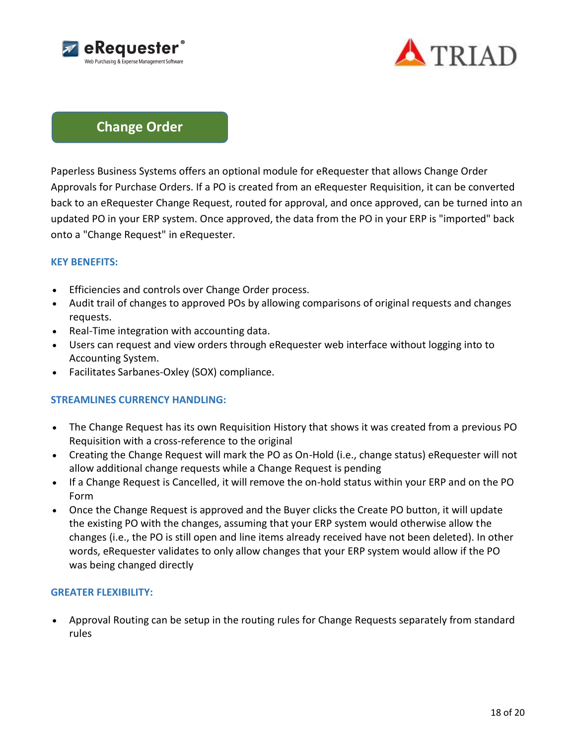



# **Change Order**

Paperless Business Systems offers an optional module for eRequester that allows Change Order Approvals for Purchase Orders. If a PO is created from an eRequester Requisition, it can be converted back to an eRequester Change Request, routed for approval, and once approved, can be turned into an updated PO in your ERP system. Once approved, the data from the PO in your ERP is "imported" back onto a "Change Request" in eRequester.

### **KEY BENEFITS:**

- **Efficiencies and controls over Change Order process.**
- Audit trail of changes to approved POs by allowing comparisons of original requests and changes requests.
- Real-Time integration with accounting data.
- Users can request and view orders through eRequester web interface without logging into to Accounting System.
- Facilitates Sarbanes-Oxley (SOX) compliance.

### **STREAMLINES CURRENCY HANDLING:**

- The Change Request has its own Requisition History that shows it was created from a previous PO Requisition with a cross-reference to the original
- Creating the Change Request will mark the PO as On-Hold (i.e., change status) eRequester will not allow additional change requests while a Change Request is pending
- If a Change Request is Cancelled, it will remove the on-hold status within your ERP and on the PO Form
- Once the Change Request is approved and the Buyer clicks the Create PO button, it will update the existing PO with the changes, assuming that your ERP system would otherwise allow the changes (i.e., the PO is still open and line items already received have not been deleted). In other words, eRequester validates to only allow changes that your ERP system would allow if the PO was being changed directly

### **GREATER FLEXIBILITY:**

 Approval Routing can be setup in the routing rules for Change Requests separately from standard rules